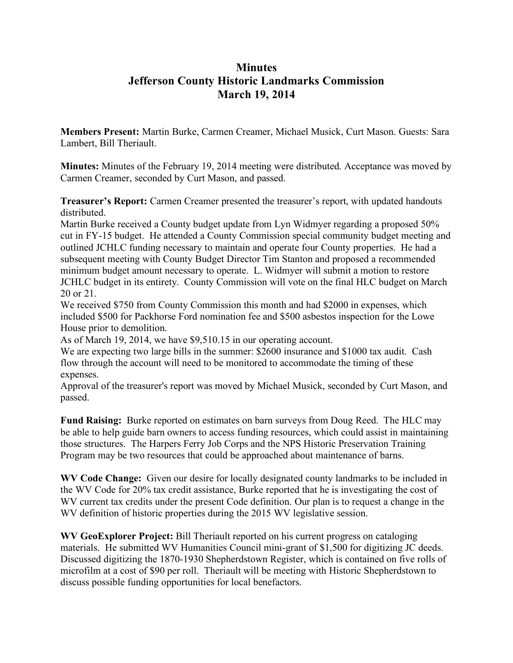# **Minutes Jefferson County Historic Landmarks Commission March 19, 2014**

**Members Present:** Martin Burke, Carmen Creamer, Michael Musick, Curt Mason. Guests: Sara Lambert, Bill Theriault.

**Minutes:** Minutes of the February 19, 2014 meeting were distributed. Acceptance was moved by Carmen Creamer, seconded by Curt Mason, and passed.

**Treasurer's Report:** Carmen Creamer presented the treasurer's report, with updated handouts distributed.

Martin Burke received a County budget update from Lyn Widmyer regarding a proposed 50% cut in FY-15 budget. He attended a County Commission special community budget meeting and outlined JCHLC funding necessary to maintain and operate four County properties. He had a subsequent meeting with County Budget Director Tim Stanton and proposed a recommended minimum budget amount necessary to operate. L. Widmyer will submit a motion to restore JCHLC budget in its entirety. County Commission will vote on the final HLC budget on March 20 or 21.

We received \$750 from County Commission this month and had \$2000 in expenses, which included \$500 for Packhorse Ford nomination fee and \$500 asbestos inspection for the Lowe House prior to demolition.

As of March 19, 2014, we have \$9,510.15 in our operating account.

We are expecting two large bills in the summer: \$2600 insurance and \$1000 tax audit. Cash flow through the account will need to be monitored to accommodate the timing of these expenses.

Approval of the treasurer's report was moved by Michael Musick, seconded by Curt Mason, and passed.

**Fund Raising:** Burke reported on estimates on barn surveys from Doug Reed. The HLC may be able to help guide barn owners to access funding resources, which could assist in maintaining those structures. The Harpers Ferry Job Corps and the NPS Historic Preservation Training Program may be two resources that could be approached about maintenance of barns.

**WV Code Change:** Given our desire for locally designated county landmarks to be included in the WV Code for 20% tax credit assistance, Burke reported that he is investigating the cost of WV current tax credits under the present Code definition. Our plan is to request a change in the WV definition of historic properties during the 2015 WV legislative session.

**WV GeoExplorer Project:** Bill Theriault reported on his current progress on cataloging materials. He submitted WV Humanities Council mini-grant of \$1,500 for digitizing JC deeds. Discussed digitizing the 1870-1930 Shepherdstown Register, which is contained on five rolls of microfilm at a cost of \$90 per roll. Theriault will be meeting with Historic Shepherdstown to discuss possible funding opportunities for local benefactors.